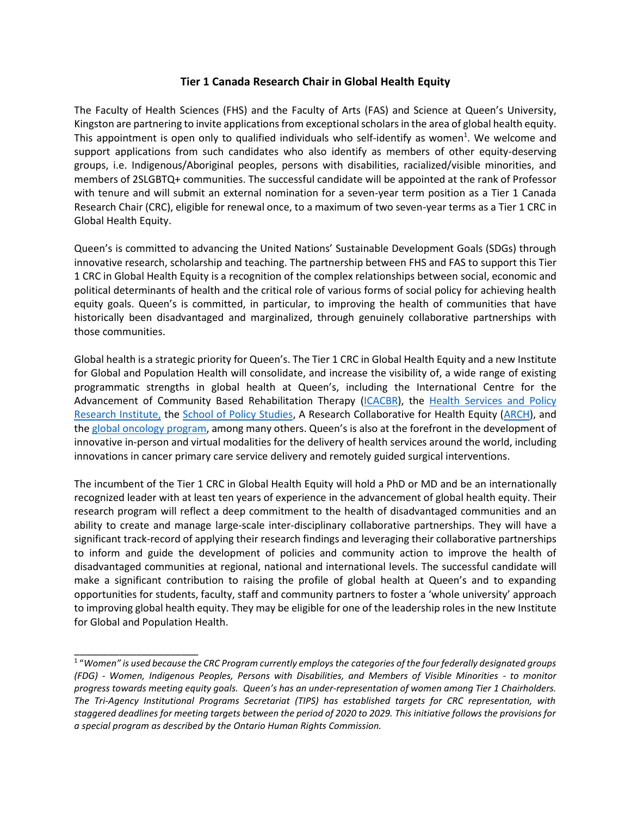## **Tier 1 Canada Research Chair in Global Health Equity**

The Faculty of Health Sciences (FHS) and the Faculty of Arts (FAS) and Science at Queen's University, Kingston are partnering to invite applications from exceptional scholars in the area of global health equity. This appointment is open only to qualified individuals who self-identify as women<sup>1</sup>. We welcome and support applications from such candidates who also identify as members of other equity-deserving groups, i.e. Indigenous/Aboriginal peoples, persons with disabilities, racialized/visible minorities, and members of 2SLGBTQ+ communities. The successful candidate will be appointed at the rank of Professor with tenure and will submit an external nomination for a seven-year term position as a Tier 1 Canada Research Chair (CRC), eligible for renewal once, to a maximum of two seven-year terms as a Tier 1 CRC in Global Health Equity.

Queen's is committed to advancing the United Nations' Sustainable Development Goals (SDGs) through innovative research, scholarship and teaching. The partnership between FHS and FAS to support this Tier 1 CRC in Global Health Equity is a recognition of the complex relationships between social, economic and political determinants of health and the critical role of various forms of social policy for achieving health equity goals. Queen's is committed, in particular, to improving the health of communities that have historically been disadvantaged and marginalized, through genuinely collaborative partnerships with those communities.

Global health is a strategic priority for Queen's. The Tier 1 CRC in Global Health Equity and a new Institute for Global and Population Health will consolidate, and increase the visibility of, a wide range of existing programmatic strengths in global health at Queen's, including the International Centre for the Advancement of Community Based Rehabilitation Therapy [\(ICACBR\)](https://rehab.queensu.ca/icacbr), the [Health Services and Policy](https://healthsci.queensu.ca/research/hspri)  [Research Institute,](https://healthsci.queensu.ca/research/hspri) the [School of Policy Studies,](https://www.queensu.ca/sps/) A Research Collaborative for Health Equity [\(ARCH\)](https://www.queensu.ca/arch/about-us), and th[e global oncology](https://oncology.queensu.ca/academics/global-oncology) program, among many others. Queen's is also at the forefront in the development of innovative in-person and virtual modalities for the delivery of health services around the world, including innovations in cancer primary care service delivery and remotely guided surgical interventions.

The incumbent of the Tier 1 CRC in Global Health Equity will hold a PhD or MD and be an internationally recognized leader with at least ten years of experience in the advancement of global health equity. Their research program will reflect a deep commitment to the health of disadvantaged communities and an ability to create and manage large-scale inter-disciplinary collaborative partnerships. They will have a significant track-record of applying their research findings and leveraging their collaborative partnerships to inform and guide the development of policies and community action to improve the health of disadvantaged communities at regional, national and international levels. The successful candidate will make a significant contribution to raising the profile of global health at Queen's and to expanding opportunities for students, faculty, staff and community partners to foster a 'whole university' approach to improving global health equity. They may be eligible for one of the leadership roles in the new Institute for Global and Population Health.

\_\_\_\_\_\_\_\_\_\_\_\_\_\_\_\_\_\_\_\_\_\_

<sup>1</sup> "*Women" is used because the CRC Program currently employs the categories of the four federally designated groups (FDG) - Women, Indigenous Peoples, Persons with Disabilities, and Members of Visible Minorities - to monitor progress towards meeting equity goals. Queen's has an under-representation of women among Tier 1 Chairholders. The Tri-Agency Institutional Programs Secretariat (TIPS) has established targets for CRC representation, with staggered deadlines for meeting targets between the period of 2020 to 2029. This initiative follows the provisions for a special program as described by the Ontario Human Rights Commission.*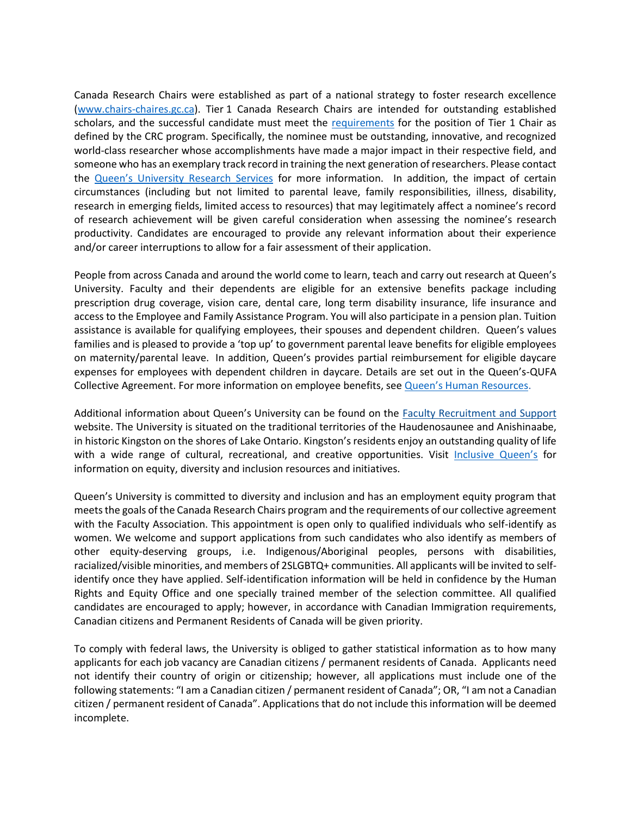Canada Research Chairs were established as part of a national strategy to foster research excellence [\(www.chairs-chaires.gc.ca\)](http://www.chairs-chaires.gc.ca/). Tier 1 Canada Research Chairs are intended for outstanding established scholars, and the successful candidate must meet the [requirements](http://www.chairs-chaires.gc.ca/program-programme/nomination-mise_en_candidature-eng.aspx#s7) for the position of Tier 1 Chair as defined by the CRC program. Specifically, the nominee must be outstanding, innovative, and recognized world-class researcher whose accomplishments have made a major impact in their respective field, and someone who has an exemplary track record in training the next generation of researchers. Please contact the [Queen's University Research Services](https://www.queensu.ca/urs/contact-us) for more information. In addition, the impact of certain circumstances (including but not limited to parental leave, family responsibilities, illness, disability, research in emerging fields, limited access to resources) that may legitimately affect a nominee's record of research achievement will be given careful consideration when assessing the nominee's research productivity. Candidates are encouraged to provide any relevant information about their experience and/or career interruptions to allow for a fair assessment of their application.

People from across Canada and around the world come to learn, teach and carry out research at Queen's University. Faculty and their dependents are eligible for an extensive benefits package including prescription drug coverage, vision care, dental care, long term disability insurance, life insurance and access to the Employee and Family Assistance Program. You will also participate in a pension plan. Tuition assistance is available for qualifying employees, their spouses and dependent children. Queen's values families and is pleased to provide a 'top up' to government parental leave benefits for eligible employees on maternity/parental leave. In addition, Queen's provides partial reimbursement for eligible daycare expenses for employees with dependent children in daycare. Details are set out in the Queen's-QUFA Collective Agreement. For more information on employee benefits, see [Queen's Human Resources](http://www.queensu.ca/humanresources/).

Additional information about Queen's University can be found on the [Faculty Recruitment and Support](http://www.queensu.ca/facultyrecruitment) website. The University is situated on the traditional territories of the Haudenosaunee and Anishinaabe, in historic Kingston on the shores of Lake Ontario. Kingston's residents enjoy an outstanding quality of life with a wide range of cultural, recreational, and creative opportunities. Visit [Inclusive Q](https://www.queensu.ca/inclusive/)ueen's for information on equity, diversity and inclusion resources and initiatives.

Queen's University is committed to diversity and inclusion and has an employment equity program that meets the goals of the Canada Research Chairs program and the requirements of our collective agreement with the Faculty Association. This appointment is open only to qualified individuals who self-identify as women. We welcome and support applications from such candidates who also identify as members of other equity-deserving groups, i.e. Indigenous/Aboriginal peoples, persons with disabilities, racialized/visible minorities, and members of 2SLGBTQ+ communities. All applicants will be invited to selfidentify once they have applied. Self-identification information will be held in confidence by the Human Rights and Equity Office and one specially trained member of the selection committee. All qualified candidates are encouraged to apply; however, in accordance with Canadian Immigration requirements, Canadian citizens and Permanent Residents of Canada will be given priority.

To comply with federal laws, the University is obliged to gather statistical information as to how many applicants for each job vacancy are Canadian citizens / permanent residents of Canada. Applicants need not identify their country of origin or citizenship; however, all applications must include one of the following statements: "I am a Canadian citizen / permanent resident of Canada"; OR, "I am not a Canadian citizen / permanent resident of Canada". Applications that do not include this information will be deemed incomplete.